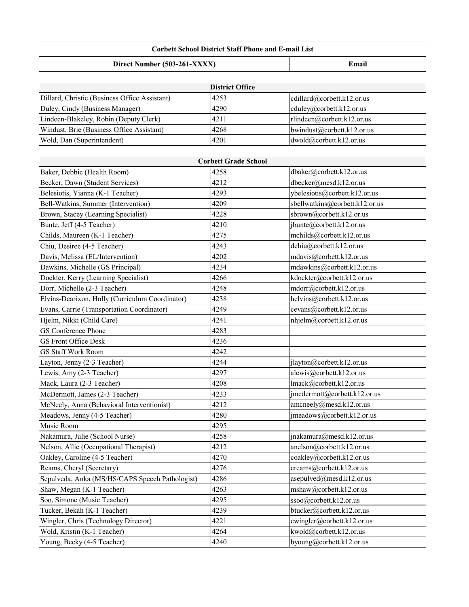## **Corbett School District Staff Phone and E-mail List**

## **Direct Number (503-261-XXXX)**

**Email**

| <b>District Office</b>                        |      |                               |
|-----------------------------------------------|------|-------------------------------|
| Dillard, Christie (Business Office Assistant) | 4253 | $c$ dillard@corbett.k12.or.us |
| Duley, Cindy (Business Manager)               | 4290 | $ $ cduley@corbett.k12.or.us  |
| Lindeen-Blakeley, Robin (Deputy Clerk)        | 4211 | $r$ lindeen@corbett.k12.or.us |
| Windust, Brie (Business Office Assistant)     | 4268 | bwindust@corbett.k12.or.us    |
| Wold, Dan (Superintendent)                    | 4201 | $d$ wold@corbett.k12.or.us    |

| <b>Corbett Grade School</b>                     |      |                                |  |
|-------------------------------------------------|------|--------------------------------|--|
| Baker, Debbie (Health Room)                     | 4258 | dbaker@corbett.k12.or.us       |  |
| Becker, Dawn (Student Services)                 | 4212 | dbecker@mesd.k12.or.us         |  |
| Belesiotis, Yianna (K-1 Teacher)                | 4293 | ybelesiotis@corbett.k12.or.us  |  |
| Bell-Watkins, Summer (Intervention)             | 4209 | sbellwatkins@corbett.k12.or.us |  |
| Brown, Stacey (Learning Specialist)             | 4228 | sbrown@corbett.k12.or.us       |  |
| Bunte, Jeff (4-5 Teacher)                       | 4210 | $jbunte@corbett.k12.$ or.us    |  |
| Childs, Maureen (K-1 Teacher)                   | 4275 | mchilds@corbett.k12.or.us      |  |
| Chiu, Desiree (4-5 Teacher)                     | 4243 | dchiu@corbett.k12.or.us        |  |
| Davis, Melissa (EL/Intervention)                | 4202 | mdavis@corbett.k12.or.us       |  |
| Dawkins, Michelle (GS Principal)                | 4234 | mdawkins@corbett.k12.or.us     |  |
| Dockter, Kerry (Learning Specialist)            | 4266 | kdockter@corbett.k12.or.us     |  |
| Dorr, Michelle (2-3 Teacher)                    | 4248 | mdorr@corbett.k12.or.us        |  |
| Elvins-Dearixon, Holly (Curriculum Coordinator) | 4238 | helvins@corbett.k12.or.us      |  |
| Evans, Carrie (Transportation Coordinator)      | 4249 | cevans@corbett.k12.or.us       |  |
| Hjelm, Nikki (Child Care)                       | 4241 | nhjelm@corbett.k12.or.us       |  |
| <b>GS</b> Conference Phone                      | 4283 |                                |  |
| <b>GS Front Office Desk</b>                     | 4236 |                                |  |
| <b>GS Staff Work Room</b>                       | 4242 |                                |  |
| Layton, Jenny (2-3 Teacher)                     | 4244 | jlayton@corbett.k12.or.us      |  |
| Lewis, Amy (2-3 Teacher)                        | 4297 | alewis@corbett.k12.or.us       |  |
| Mack, Laura (2-3 Teacher)                       | 4208 | lmack@corbett.k12.or.us        |  |
| McDermott, James (2-3 Teacher)                  | 4233 | imcdermott@corbett.k12.or.us   |  |
| McNeely, Anna (Behavioral Interventionist)      | 4212 | amcneely@mesd.k12.or.us        |  |
| Meadows, Jenny (4-5 Teacher)                    | 4280 | jmeadows@corbett.k12.or.us     |  |
| Music Room                                      | 4295 |                                |  |
| Nakamura, Julie (School Nurse)                  | 4258 | jnakamura@mesd.k12.or.us       |  |
| Nelson, Allie (Occupational Therapist)          | 4212 | anelson@corbett.k12.or.us      |  |
| Oakley, Caroline (4-5 Teacher)                  | 4270 | coakley@corbett.k12.or.us      |  |
| Reams, Cheryl (Secretary)                       | 4276 | creams@corbett.k12.or.us       |  |
| Sepulveda, Anka (MS/HS/CAPS Speech Pathologist) | 4286 | asepulved@mesd.k12.or.us       |  |
| Shaw, Megan (K-1 Teacher)                       | 4263 | mshaw@corbett.k12.or.us        |  |
| Soo, Simone (Music Teacher)                     | 4295 | ssoo@corbett.k12.or.us         |  |
| Tucker, Bekah (K-1 Teacher)                     | 4239 | btucker@corbett.k12.or.us      |  |
| Wingler, Chris (Technology Director)            | 4221 | cwingler@corbett.k12.or.us     |  |
| Wold, Kristin (K-1 Teacher)                     | 4264 | kwold@corbett.k12.or.us        |  |
| Young, Becky (4-5 Teacher)                      | 4240 | byoung@corbett.k12.or.us       |  |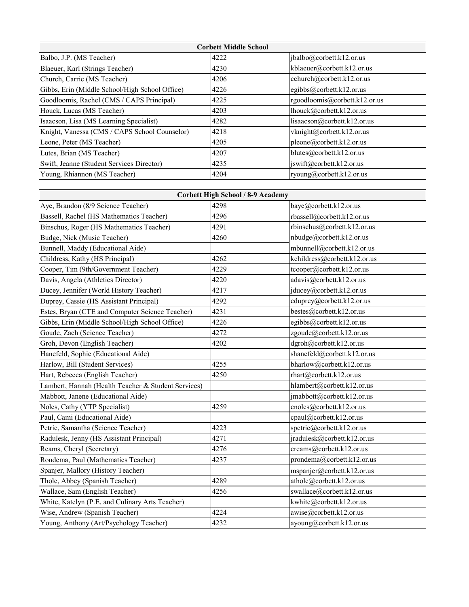| <b>Corbett Middle School</b>                   |      |                               |  |
|------------------------------------------------|------|-------------------------------|--|
| Balbo, J.P. (MS Teacher)                       | 4222 | jbalbo@corbett.k12.or.us      |  |
| Blaeuer, Karl (Strings Teacher)                | 4230 | kblaeuer@corbett.k12.or.us    |  |
| Church, Carrie (MS Teacher)                    | 4206 | cchurch@corbett.k12.or.us     |  |
| Gibbs, Erin (Middle School/High School Office) | 4226 | egibbs@corbett.k12.or.us      |  |
| Goodloomis, Rachel (CMS / CAPS Principal)      | 4225 | rgoodloomis@corbett.k12.or.us |  |
| Houck, Lucas (MS Teacher)                      | 4203 | lhouck@corbett.k12.or.us      |  |
| Isaacson, Lisa (MS Learning Specialist)        | 4282 | lisaacson@corbett.k12.or.us   |  |
| Knight, Vanessa (CMS / CAPS School Counselor)  | 4218 | vknight@corbett.k12.or.us     |  |
| Leone, Peter (MS Teacher)                      | 4205 | pleone@corbett.k12.or.us      |  |
| Lutes, Brian (MS Teacher)                      | 4207 | blutes@corbett.k12.or.us      |  |
| Swift, Jeanne (Student Services Director)      | 4235 | jswift@corbett.k12.or.us      |  |
| Young, Rhiannon (MS Teacher)                   | 4204 | ryoung@corbett.k12.or.us      |  |

| <b>Corbett High School / 8-9 Academy</b>            |      |                              |  |
|-----------------------------------------------------|------|------------------------------|--|
| Aye, Brandon (8/9 Science Teacher)                  | 4298 | baye@corbett.k12.or.us       |  |
| Bassell, Rachel (HS Mathematics Teacher)            | 4296 | rbassell@corbett.k12.or.us   |  |
| Binschus, Roger (HS Mathematics Teacher)            | 4291 | rbinschus@corbett.k12.or.us  |  |
| Budge, Nick (Music Teacher)                         | 4260 | nbudge@corbett.k12.or.us     |  |
| Bunnell, Maddy (Educational Aide)                   |      | mbunnell@corbett.k12.or.us   |  |
| Childress, Kathy (HS Principal)                     | 4262 | kchildress@corbett.k12.or.us |  |
| Cooper, Tim (9th/Government Teacher)                | 4229 | tcooper@corbett.k12.or.us    |  |
| Davis, Angela (Athletics Director)                  | 4220 | adavis@corbett.k12.or.us     |  |
| Ducey, Jennifer (World History Teacher)             | 4217 | jducey@corbett.k12.or.us     |  |
| Duprey, Cassie (HS Assistant Principal)             | 4292 | cduprey@corbett.k12.or.us    |  |
| Estes, Bryan (CTE and Computer Science Teacher)     | 4231 | bestes@corbett.k12.or.us     |  |
| Gibbs, Erin (Middle School/High School Office)      | 4226 | egibbs@corbett.k12.or.us     |  |
| Goude, Zach (Science Teacher)                       | 4272 | zgoude@corbett.k12.or.us     |  |
| Groh, Devon (English Teacher)                       | 4202 | dgroh@corbett.k12.or.us      |  |
| Hanefeld, Sophie (Educational Aide)                 |      | shanefeld@corbett.k12.or.us  |  |
| Harlow, Bill (Student Services)                     | 4255 | bharlow@corbett.k12.or.us    |  |
| Hart, Rebecca (English Teacher)                     | 4250 | rhart@corbett.k12.or.us      |  |
| Lambert, Hannah (Health Teacher & Student Services) |      | hlambert@corbett.k12.or.us   |  |
| Mabbott, Janene (Educational Aide)                  |      | jmabbott@corbett.k12.or.us   |  |
| Noles, Cathy (YTP Specialist)                       | 4259 | cnoles@corbett.k12.or.us     |  |
| Paul, Cami (Educational Aide)                       |      | cpaul@corbett.k12.or.us      |  |
| Petrie, Samantha (Science Teacher)                  | 4223 | spetrie@corbett.k12.or.us    |  |
| Radulesk, Jenny (HS Assistant Principal)            | 4271 | jradulesk@corbett.k12.or.us  |  |
| Reams, Cheryl (Secretary)                           | 4276 | creams@corbett.k12.or.us     |  |
| Rondema, Paul (Mathematics Teacher)                 | 4237 | prondema@corbett.k12.or.us   |  |
| Spanjer, Mallory (History Teacher)                  |      | mspanjer@corbett.k12.or.us   |  |
| Thole, Abbey (Spanish Teacher)                      | 4289 | athole@corbett.k12.or.us     |  |
| Wallace, Sam (English Teacher)                      | 4256 | swallace@corbett.k12.or.us   |  |
| White, Katelyn (P.E. and Culinary Arts Teacher)     |      | kwhite@corbett.k12.or.us     |  |
| Wise, Andrew (Spanish Teacher)                      | 4224 | awise@corbett.k12.or.us      |  |
| Young, Anthony (Art/Psychology Teacher)             | 4232 | ayoung@corbett.k12.or.us     |  |